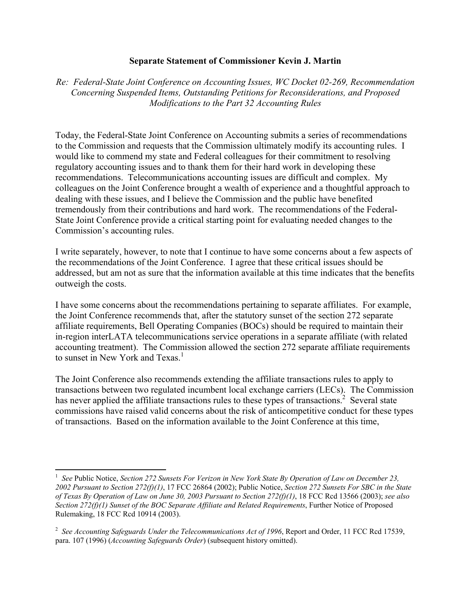## **Separate Statement of Commissioner Kevin J. Martin**

*Re: Federal-State Joint Conference on Accounting Issues, WC Docket 02-269, Recommendation Concerning Suspended Items, Outstanding Petitions for Reconsiderations, and Proposed Modifications to the Part 32 Accounting Rules*

Today, the Federal-State Joint Conference on Accounting submits a series of recommendations to the Commission and requests that the Commission ultimately modify its accounting rules. I would like to commend my state and Federal colleagues for their commitment to resolving regulatory accounting issues and to thank them for their hard work in developing these recommendations. Telecommunications accounting issues are difficult and complex. My colleagues on the Joint Conference brought a wealth of experience and a thoughtful approach to dealing with these issues, and I believe the Commission and the public have benefited tremendously from their contributions and hard work. The recommendations of the Federal-State Joint Conference provide a critical starting point for evaluating needed changes to the Commission's accounting rules.

I write separately, however, to note that I continue to have some concerns about a few aspects of the recommendations of the Joint Conference. I agree that these critical issues should be addressed, but am not as sure that the information available at this time indicates that the benefits outweigh the costs.

I have some concerns about the recommendations pertaining to separate affiliates. For example, the Joint Conference recommends that, after the statutory sunset of the section 272 separate affiliate requirements, Bell Operating Companies (BOCs) should be required to maintain their in-region interLATA telecommunications service operations in a separate affiliate (with related accounting treatment). The Commission allowed the section 272 separate affiliate requirements to sunset in New York and Texas.<sup>1</sup>

The Joint Conference also recommends extending the affiliate transactions rules to apply to transactions between two regulated incumbent local exchange carriers (LECs). The Commission has never applied the affiliate transactions rules to these types of transactions.<sup>2</sup> Several state commissions have raised valid concerns about the risk of anticompetitive conduct for these types of transactions. Based on the information available to the Joint Conference at this time,

1

<sup>&</sup>lt;sup>1</sup> See Public Notice, Section 272 Sunsets For Verizon in New York State By Operation of Law on December 23, *2002 Pursuant to Section 272(f)(1)*, 17 FCC 26864 (2002); Public Notice, *Section 272 Sunsets For SBC in the State of Texas By Operation of Law on June 30, 2003 Pursuant to Section 272(f)(1)*, 18 FCC Rcd 13566 (2003); *see also Section 272(f)(1) Sunset of the BOC Separate Affiliate and Related Requirements*, Further Notice of Proposed Rulemaking, 18 FCC Rcd 10914 (2003).

<sup>&</sup>lt;sup>2</sup> See Accounting Safeguards Under the Telecommunications Act of 1996, Report and Order, 11 FCC Rcd 17539, para. 107 (1996) (*Accounting Safeguards Order*) (subsequent history omitted).